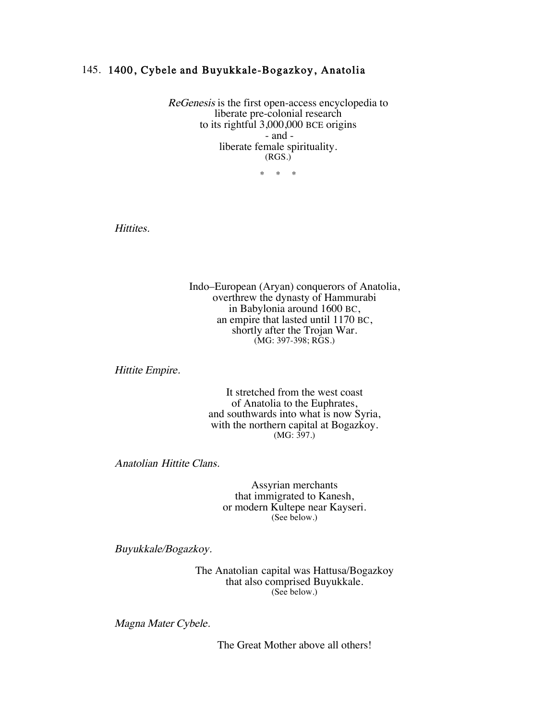## 145. 1400, Cybele and Buyukkale-Bogazkoy, Anatolia

ReGenesis is the first open-access encyclopedia to liberate pre-colonial research to its rightful 3,000,000 BCE origins - and liberate female spirituality. (RGS.)

\* \* \*

Hittites.

Indo–European (Aryan) conquerors of Anatolia, overthrew the dynasty of Hammurabi in Babylonia around 1600 BC, an empire that lasted until 1170 BC, shortly after the Trojan War. (MG: 397-398; RGS.)

Hittite Empire.

It stretched from the west coast of Anatolia to the Euphrates, and southwards into what is now Syria, with the northern capital at Bogazkoy. (MG: 397.)

Anatolian Hittite Clans.

Assyrian merchants that immigrated to Kanesh, or modern Kultepe near Kayseri. (See below.)

Buyukkale/Bogazkoy.

The Anatolian capital was Hattusa/Bogazkoy that also comprised Buyukkale. (See below.)

Magna Mater Cybele.

The Great Mother above all others!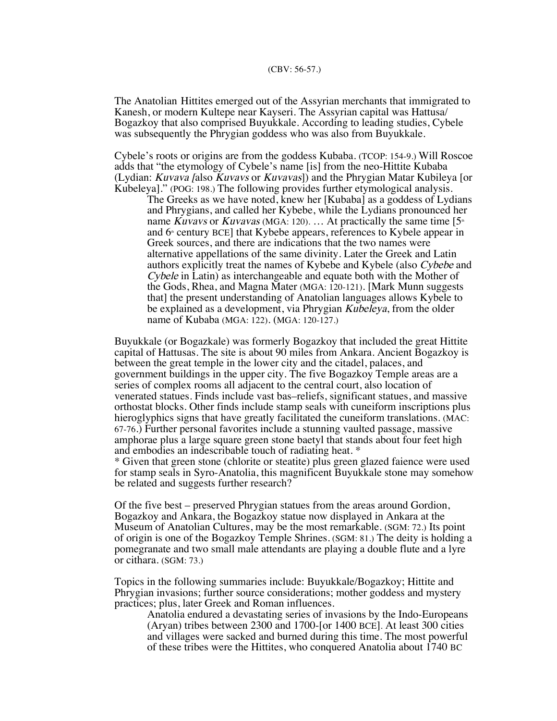The Anatolian Hittites emerged out of the Assyrian merchants that immigrated to Kanesh, or modern Kultepe near Kayseri. The Assyrian capital was Hattusa/ Bogazkoy that also comprised Buyukkale. According to leading studies, Cybele was subsequently the Phrygian goddess who was also from Buyukkale.

Cybele's roots or origins are from the goddess Kubaba. (TCOP: 154-9.) Will Roscoe adds that "the etymology of Cybele's name [is] from the neo-Hittite Kubaba (Lydian: *Kuvava [also Kuvavs or Kuvavas]*) and the Phrygian Matar Kubileya [or Kubeleya]." (POG: 198.) The following provides further etymological analysis.

The Greeks as we have noted, knew her [Kubaba] as a goddess of Lydians and Phrygians, and called her Kybebe, while the Lydians pronounced her name Kuvavs or Kuvavas (MGA: 120). ... At practically the same time  $[5<sup>th</sup>]$ and  $6<sup>*</sup>$  century BCE] that Kybebe appears, references to Kybele appear in Greek sources, and there are indications that the two names were alternative appellations of the same divinity. Later the Greek and Latin authors explicitly treat the names of Kybebe and Kybele (also Cybebe and Cybele in Latin) as interchangeable and equate both with the Mother of the Gods, Rhea, and Magna Mater (MGA: 120-121). [Mark Munn suggests that] the present understanding of Anatolian languages allows Kybele to be explained as a development, via Phrygian Kubeleya, from the older name of Kubaba (MGA: 122). (MGA: 120-127.)

Buyukkale (or Bogazkale) was formerly Bogazkoy that included the great Hittite capital of Hattusas. The site is about 90 miles from Ankara. Ancient Bogazkoy is between the great temple in the lower city and the citadel, palaces, and government buildings in the upper city. The five Bogazkoy Temple areas are a series of complex rooms all adjacent to the central court, also location of venerated statues. Finds include vast bas–reliefs, significant statues, and massive orthostat blocks. Other finds include stamp seals with cuneiform inscriptions plus hieroglyphics signs that have greatly facilitated the cuneiform translations. (MAC: 67-76.) Further personal favorites include a stunning vaulted passage, massive amphorae plus a large square green stone baetyl that stands about four feet high and embodies an indescribable touch of radiating heat. \* \* Given that green stone (chlorite or steatite) plus green glazed faience were used

for stamp seals in Syro-Anatolia, this magnificent Buyukkale stone may somehow be related and suggests further research?

Of the five best – preserved Phrygian statues from the areas around Gordion, Bogazkoy and Ankara, the Bogazkoy statue now displayed in Ankara at the Museum of Anatolian Cultures, may be the most remarkable. (SGM: 72.) Its point of origin is one of the Bogazkoy Temple Shrines. (SGM: 81.) The deity is holding a pomegranate and two small male attendants are playing a double flute and a lyre or cithara. (SGM: 73.)

Topics in the following summaries include: Buyukkale/Bogazkoy; Hittite and Phrygian invasions; further source considerations; mother goddess and mystery practices; plus, later Greek and Roman influences.

Anatolia endured a devastating series of invasions by the Indo-Europeans (Aryan) tribes between 2300 and 1700-[or 1400 BCE]. At least 300 cities and villages were sacked and burned during this time. The most powerful of these tribes were the Hittites, who conquered Anatolia about 1740 BC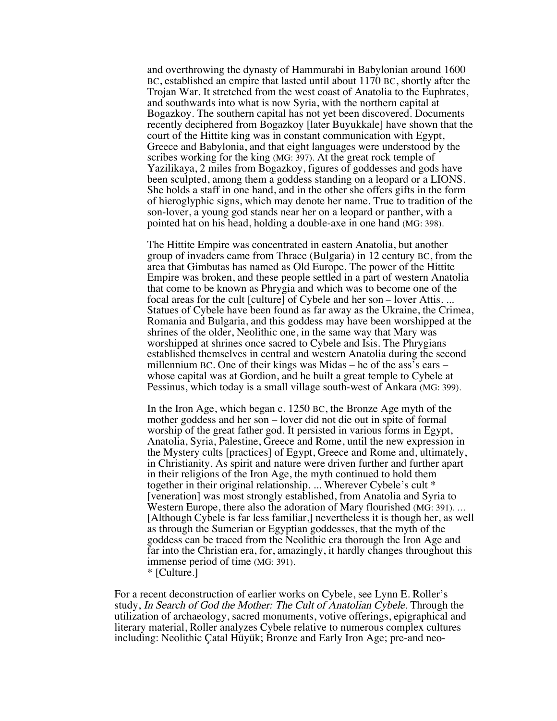and overthrowing the dynasty of Hammurabi in Babylonian around 1600 BC, established an empire that lasted until about 1170 BC, shortly after the Trojan War. It stretched from the west coast of Anatolia to the Euphrates, and southwards into what is now Syria, with the northern capital at Bogazkoy. The southern capital has not yet been discovered. Documents recently deciphered from Bogazkoy [later Buyukkale] have shown that the court of the Hittite king was in constant communication with Egypt, Greece and Babylonia, and that eight languages were understood by the scribes working for the king (MG: 397). At the great rock temple of Yazilikaya, 2 miles from Bogazkoy, figures of goddesses and gods have been sculpted, among them a goddess standing on a leopard or a LIONS. She holds a staff in one hand, and in the other she offers gifts in the form of hieroglyphic signs, which may denote her name. True to tradition of the son-lover, a young god stands near her on a leopard or panther, with a pointed hat on his head, holding a double-axe in one hand (MG: 398).

The Hittite Empire was concentrated in eastern Anatolia, but another group of invaders came from Thrace (Bulgaria) in 12 century BC, from the area that Gimbutas has named as Old Europe. The power of the Hittite Empire was broken, and these people settled in a part of western Anatolia that come to be known as Phrygia and which was to become one of the focal areas for the cult [culture] of Cybele and her son – lover Attis. ... Statues of Cybele have been found as far away as the Ukraine, the Crimea, Romania and Bulgaria, and this goddess may have been worshipped at the shrines of the older, Neolithic one, in the same way that Mary was worshipped at shrines once sacred to Cybele and Isis. The Phrygians established themselves in central and western Anatolia during the second millennium BC. One of their kings was Midas – he of the ass's ears – whose capital was at Gordion, and he built a great temple to Cybele at Pessinus, which today is a small village south-west of Ankara (MG: 399).

In the Iron Age, which began c. 1250 BC, the Bronze Age myth of the mother goddess and her son – lover did not die out in spite of formal worship of the great father god. It persisted in various forms in Egypt, Anatolia, Syria, Palestine, Greece and Rome, until the new expression in the Mystery cults [practices] of Egypt, Greece and Rome and, ultimately, in Christianity. As spirit and nature were driven further and further apart in their religions of the Iron Age, the myth continued to hold them together in their original relationship. ... Wherever Cybele's cult \* [veneration] was most strongly established, from Anatolia and Syria to Western Europe, there also the adoration of Mary flourished (MG: 391). … [Although Cybele is far less familiar,] nevertheless it is though her, as well as through the Sumerian or Egyptian goddesses, that the myth of the goddess can be traced from the Neolithic era thorough the Iron Age and far into the Christian era, for, amazingly, it hardly changes throughout this immense period of time (MG: 391).

\* [Culture.]

For a recent deconstruction of earlier works on Cybele, see Lynn E. Roller's study, In Search of God the Mother: The Cult of Anatolian Cybele. Through the utilization of archaeology, sacred monuments, votive offerings, epigraphical and literary material, Roller analyzes Cybele relative to numerous complex cultures including: Neolithic Çatal Hüyük; Bronze and Early Iron Age; pre-and neo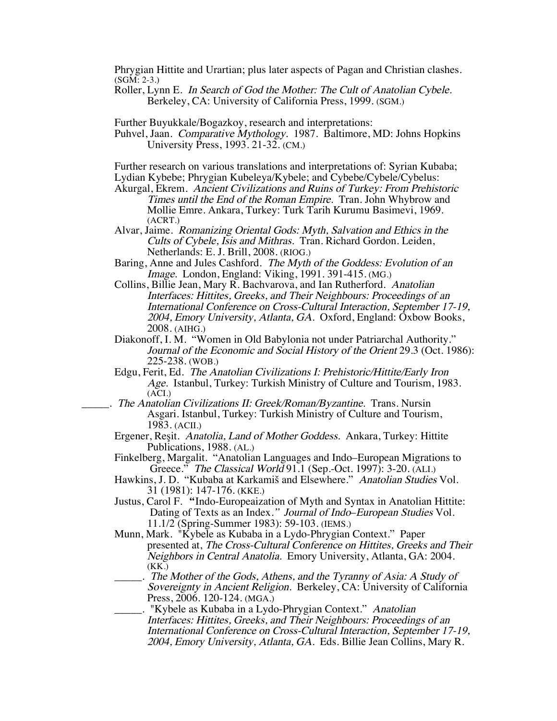Phrygian Hittite and Urartian; plus later aspects of Pagan and Christian clashes. (SGM: 2-3.)

Roller, Lynn E. In Search of God the Mother: The Cult of Anatolian Cybele. Berkeley, CA: University of California Press, 1999. (SGM.)

Further Buyukkale/Bogazkoy, research and interpretations:

Puhvel, Jaan. Comparative Mythology. 1987. Baltimore, MD: Johns Hopkins University Press, 1993. 21-32. (CM.)

Further research on various translations and interpretations of: Syrian Kubaba; Lydian Kybebe; Phrygian Kubeleya/Kybele; and Cybebe/Cybele/Cybelus:

Akurgal, Ekrem. Ancient Civilizations and Ruins of Turkey: From Prehistoric Times until the End of the Roman Empire. Tran. John Whybrow and Mollie Emre. Ankara, Turkey: Turk Tarih Kurumu Basimevi, 1969. (ACRT.)

Alvar, Jaime. Romanizing Oriental Gods: Myth, Salvation and Ethics in the Cults of Cybele, Isis and Mithras. Tran. Richard Gordon. Leiden, Netherlands: E. J. Brill, 2008. (RIOG.)

Baring, Anne and Jules Cashford. The Myth of the Goddess: Evolution of an Image. London, England: Viking, 1991. 391-415. (MG.)

- Collins, Billie Jean, Mary R. Bachvarova, and Ian Rutherford. Anatolian Interfaces: Hittites, Greeks, and Their Neighbours: Proceedings of an International Conference on Cross-Cultural Interaction, September 17-19, 2004, Emory University, Atlanta, GA. Oxford, England: Oxbow Books, 2008. (AIHG.)
- Diakonoff, I. M. "Women in Old Babylonia not under Patriarchal Authority." Journal of the Economic and Social History of the Orient 29.3 (Oct. 1986): 225-238. (WOB.)
- Edgu, Ferit, Ed. The Anatolian Civilizations I: Prehistoric/Hittite/Early Iron Age. Istanbul, Turkey: Turkish Ministry of Culture and Tourism, 1983. (ACI.)

The Anatolian Civilizations II: Greek/Roman/Byzantine. Trans. Nursin Asgari. Istanbul, Turkey: Turkish Ministry of Culture and Tourism, 1983. (ACII.)

- Ergener, Reşit. Anatolia, Land of Mother Goddess. Ankara, Turkey: Hittite Publications, 1988. (AL.)
- Finkelberg, Margalit. "Anatolian Languages and Indo–European Migrations to Greece." The Classical World 91.1 (Sep.-Oct. 1997): 3-20. (ALI.)
- Hawkins, J. D. "Kubaba at Karkamiš and Elsewhere." Anatolian Studies Vol. 31 (1981): 147-176. (KKE.)
- Justus, Carol F. "Indo-Europeaization of Myth and Syntax in Anatolian Hittite: Dating of Texts as an Index." Journal of Indo–European Studies Vol. 11.1/2 (Spring-Summer 1983): 59-103. (IEMS.) Munn, Mark. "Kybele as Kubaba in a Lydo-Phrygian Context." Paper
- presented at, The Cross-Cultural Conference on Hittites, Greeks and Their Neighbors in Central Anatolia. Emory University, Atlanta, GA: 2004. (KK.)
- \_\_\_\_\_. The Mother of the Gods, Athens, and the Tyranny of Asia: A Study of Sovereignty in Ancient Religion. Berkeley, CA: University of California Press, 2006. 120-124. (MGA.)

\_\_\_\_\_. "Kybele as Kubaba in a Lydo-Phrygian Context." Anatolian Interfaces: Hittites, Greeks, and Their Neighbours: Proceedings of an International Conference on Cross-Cultural Interaction, September 17-19, 2004, Emory University, Atlanta, GA. Eds. Billie Jean Collins, Mary R.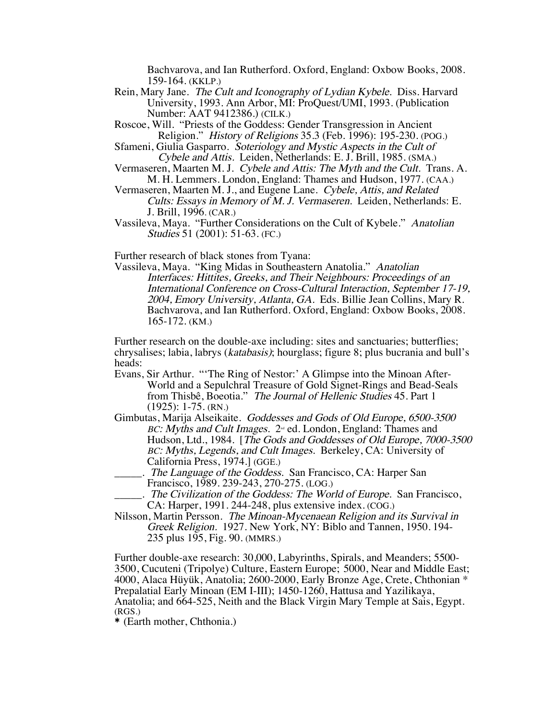Bachvarova, and Ian Rutherford. Oxford, England: Oxbow Books, 2008. 159-164. (KKLP.)

- Rein, Mary Jane. The Cult and Iconography of Lydian Kybele. Diss. Harvard University, 1993. Ann Arbor, MI: ProQuest/UMI, 1993. (Publication Number: AAT 9412386.) (CILK.)
- Roscoe, Will. "Priests of the Goddess: Gender Transgression in Ancient Religion." History of Religions 35.3 (Feb. 1996): 195-230. (POG.)
- Sfameni, Giulia Gasparro. Soteriology and Mystic Aspects in the Cult of Cybele and Attis. Leiden, Netherlands: E. J. Brill, 1985. (SMA.)
- Vermaseren, Maarten M. J. Cybele and Attis: The Myth and the Cult. Trans. A. M. H. Lemmers. London, England: Thames and Hudson, 1977. (CAA.)
- Vermaseren, Maarten M. J., and Eugene Lane. Cybele, Attis, and Related Cults: Essays in Memory of M. J. Vermaseren. Leiden, Netherlands: E. J. Brill, 1996. (CAR.)
- Vassileva, Maya. "Further Considerations on the Cult of Kybele." Anatolian Studies 51 (2001): 51-63. (FC.)

Further research of black stones from Tyana:

Vassileva, Maya. "King Midas in Southeastern Anatolia." Anatolian Interfaces: Hittites, Greeks, and Their Neighbours: Proceedings of an International Conference on Cross-Cultural Interaction, September 17-19, 2004, Emory University, Atlanta, GA. Eds. Billie Jean Collins, Mary R. Bachvarova, and Ian Rutherford. Oxford, England: Oxbow Books, 2008. 165-172. (KM.)

Further research on the double-axe including: sites and sanctuaries; butterflies; chrysalises; labia, labrys (katabasis); hourglass; figure 8; plus bucrania and bull's heads:

- Evans, Sir Arthur. "'The Ring of Nestor:' A Glimpse into the Minoan After-World and a Sepulchral Treasure of Gold Signet-Rings and Bead-Seals from Thisbê, Boeotia." The Journal of Hellenic Studies 45. Part 1 (1925): 1-75. (RN.)
- Gimbutas, Marija Alseikaite. Goddesses and Gods of Old Europe, 6500-3500  $BC: Myths$  and Cult Images.  $2<sup>nd</sup>$  ed. London, England: Thames and Hudson, Ltd., 1984. [The Gods and Goddesses of Old Europe, 7000-3500 BC: Myths, Legends, and Cult Images. Berkeley, CA: University of California Press, 1974.] (GGE.)
	- ... The Language of the Goddess. San Francisco, CA: Harper San Francisco, 1989. 239-243, 270-275. (LOG.)
	- . The Civilization of the Goddess: The World of Europe. San Francisco, CA: Harper, 1991. 244-248, plus extensive index. (COG.)
- Nilsson, Martin Persson. The Minoan-Mycenaean Religion and its Survival in Greek Religion. 1927. New York, NY: Biblo and Tannen, 1950. 194- 235 plus 195, Fig. 90. (MMRS.)

Further double-axe research: 30,000, Labyrinths, Spirals, and Meanders; 5500- 3500, Cucuteni (Tripolye) Culture, Eastern Europe; 5000, Near and Middle East; 4000, Alaca Hüyük, Anatolia; 2600-2000, Early Bronze Age, Crete, Chthonian \* Prepalatial Early Minoan (EM I-III); 1450-1260, Hattusa and Yazilikaya, Anatolia; and 664-525, Neith and the Black Virgin Mary Temple at Sais, Egypt. (RGS.)

\* (Earth mother, Chthonia.)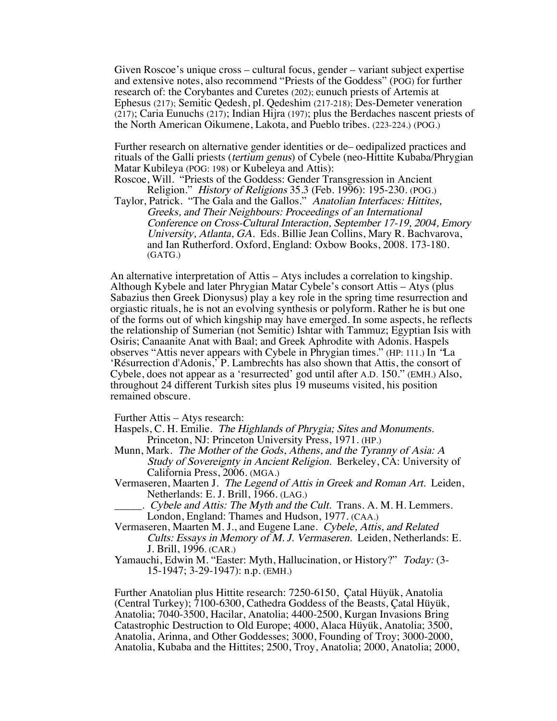Given Roscoe's unique cross – cultural focus, gender – variant subject expertise and extensive notes, also recommend "Priests of the Goddess" (POG) for further research of: the Corybantes and Curetes (202); eunuch priests of Artemis at Ephesus (217); Semitic Qedesh, pl. Qedeshim (217-218); Des-Demeter veneration (217); Caria Eunuchs (217); Indian Hijra (197); plus the Berdaches nascent priests of the North American Oikumene, Lakota, and Pueblo tribes. (223-224.) (POG.)

Further research on alternative gender identities or de– oedipalized practices and rituals of the Galli priests (tertium genus) of Cybele (neo-Hittite Kubaba/Phrygian Matar Kubileya (POG: 198) or Kubeleya and Attis):

Roscoe, Will. "Priests of the Goddess: Gender Transgression in Ancient Religion." History of Religions 35.3 (Feb. 1996): 195-230. (POG.)

Taylor, Patrick. "The Gala and the Gallos." Anatolian Interfaces: Hittites, Greeks, and Their Neighbours: Proceedings of an International Conference on Cross-Cultural Interaction, September 17-19, 2004, Emory University, Atlanta, GA. Eds. Billie Jean Collins, Mary R. Bachvarova, and Ian Rutherford. Oxford, England: Oxbow Books, 2008. 173-180. (GATG.)

An alternative interpretation of Attis – Atys includes a correlation to kingship. Although Kybele and later Phrygian Matar Cybele's consort Attis – Atys (plus Sabazius then Greek Dionysus) play a key role in the spring time resurrection and orgiastic rituals, he is not an evolving synthesis or polyform. Rather he is but one of the forms out of which kingship may have emerged. In some aspects, he reflects the relationship of Sumerian (not Semitic) Ishtar with Tammuz; Egyptian Isis with Osiris; Canaanite Anat with Baal; and Greek Aphrodite with Adonis. Haspels observes "Attis never appears with Cybele in Phrygian times." (HP: 111.) In "La 'Résurrection d'Adonis,' P. Lambrechts has also shown that Attis, the consort of Cybele, does not appear as a 'resurrected' god until after A.D. 150." (EMH.) Also, throughout 24 different Turkish sites plus 19 museums visited, his position remained obscure.

Further Attis – Atys research:

- Haspels, C. H. Emilie. The Highlands of Phrygia; Sites and Monuments. Princeton, NJ: Princeton University Press, 1971. (HP.)
- Munn, Mark. The Mother of the Gods, Athens, and the Tyranny of Asia: A Study of Sovereignty in Ancient Religion. Berkeley, CA: University of California Press, 2006. (MGA.)
- Vermaseren, Maarten J. The Legend of Attis in Greek and Roman Art. Leiden, Netherlands: E. J. Brill, 1966. (LAG.)
	- . Cybele and Attis: The Myth and the Cult. Trans. A. M. H. Lemmers. London, England: Thames and Hudson, 1977. (CAA.)
- Vermaseren, Maarten M. J., and Eugene Lane. Cybele, Attis, and Related Cults: Essays in Memory of M. J. Vermaseren. Leiden, Netherlands: E. J. Brill, 1996. (CAR.)
- Yamauchi, Edwin M. "Easter: Myth, Hallucination, or History?" Today: (3-<br>15-1947; 3-29-1947): n.p. (EMH.)

Further Anatolian plus Hittite research: 7250-6150, Çatal Hüyük, Anatolia (Central Turkey); 7100-6300, Cathedra Goddess of the Beasts, Çatal Hüyük, Anatolia; 7040-3500, Hacilar, Anatolia; 4400-2500, Kurgan Invasions Bring Catastrophic Destruction to Old Europe; 4000, Alaca Hüyük, Anatolia; 3500, Anatolia, Arinna, and Other Goddesses; 3000, Founding of Troy; 3000-2000, Anatolia, Kubaba and the Hittites; 2500, Troy, Anatolia; 2000, Anatolia; 2000,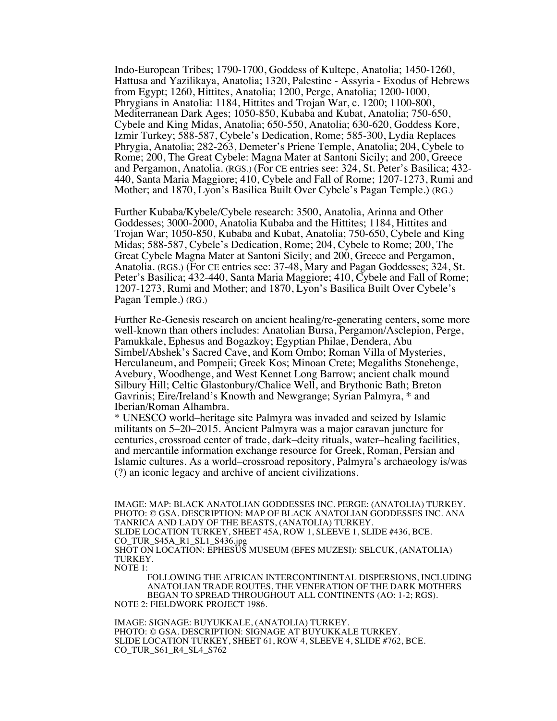Indo-European Tribes; 1790-1700, Goddess of Kultepe, Anatolia; 1450-1260, Hattusa and Yazilikaya, Anatolia; 1320, Palestine - Assyria - Exodus of Hebrews from Egypt; 1260, Hittites, Anatolia; 1200, Perge, Anatolia; 1200-1000, Phrygians in Anatolia: 1184, Hittites and Trojan War, c. 1200; 1100-800, Mediterranean Dark Ages; 1050-850, Kubaba and Kubat, Anatolia; 750-650, Cybele and King Midas, Anatolia; 650-550, Anatolia; 630-620, Goddess Kore, Izmir Turkey; 588-587, Cybele's Dedication, Rome; 585-300, Lydia Replaces Phrygia, Anatolia; 282-263, Demeter's Priene Temple, Anatolia; 204, Cybele to Rome; 200, The Great Cybele: Magna Mater at Santoni Sicily; and 200, Greece and Pergamon, Anatolia. (RGS.) (For CE entries see: 324, St. Peter's Basilica; 432- 440, Santa Maria Maggiore; 410, Cybele and Fall of Rome; 1207-1273, Rumi and Mother; and 1870, Lyon's Basilica Built Over Cybele's Pagan Temple.) (RG.)

Further Kubaba/Kybele/Cybele research: 3500, Anatolia, Arinna and Other Goddesses; 3000-2000, Anatolia Kubaba and the Hittites; 1184, Hittites and Trojan War; 1050-850, Kubaba and Kubat, Anatolia; 750-650, Cybele and King Midas; 588-587, Cybele's Dedication, Rome; 204, Cybele to Rome; 200, The Great Cybele Magna Mater at Santoni Sicily; and 200, Greece and Pergamon, Anatolia. (RGS.) (For CE entries see: 37-48, Mary and Pagan Goddesses; 324, St. Peter's Basilica; 432-440, Santa Maria Maggiore; 410, Cybele and Fall of Rome; 1207-1273, Rumi and Mother; and 1870, Lyon's Basilica Built Over Cybele's Pagan Temple.) (RG.)

Further Re-Genesis research on ancient healing/re-generating centers, some more well-known than others includes: Anatolian Bursa, Pergamon/Asclepion, Perge, Pamukkale, Ephesus and Bogazkoy; Egyptian Philae, Dendera, Abu Simbel/Abshek's Sacred Cave, and Kom Ombo; Roman Villa of Mysteries, Herculaneum, and Pompeii; Greek Kos; Minoan Crete; Megaliths Stonehenge, Avebury, Woodhenge, and West Kennet Long Barrow; ancient chalk mound Silbury Hill; Celtic Glastonbury/Chalice Well, and Brythonic Bath; Breton Gavrinis; Eire/Ireland's Knowth and Newgrange; Syrian Palmyra, \* and Iberian/Roman Alhambra.

\* UNESCO world–heritage site Palmyra was invaded and seized by Islamic militants on 5–20–2015. Ancient Palmyra was a major caravan juncture for centuries, crossroad center of trade, dark–deity rituals, water–healing facilities, and mercantile information exchange resource for Greek, Roman, Persian and Islamic cultures. As a world–crossroad repository, Palmyra's archaeology is/was (?) an iconic legacy and archive of ancient civilizations.

IMAGE: MAP: BLACK ANATOLIAN GODDESSES INC. PERGE: (ANATOLIA) TURKEY. PHOTO: © GSA. DESCRIPTION: MAP OF BLACK ANATOLIAN GODDESSES INC. ANA TANRICA AND LADY OF THE BEASTS, (ANATOLIA) TURKEY. SLIDE LOCATION TURKEY, SHEET 45A, ROW 1, SLEEVE 1, SLIDE #436, BCE. CO\_TUR\_S45A\_R1\_SL1\_S436.jpg SHOT ON LOCATION: EPHESUS MUSEUM (EFES MUZESI): SELCUK, (ANATOLIA) TURKEY. NOTE 1:

FOLLOWING THE AFRICAN INTERCONTINENTAL DISPERSIONS, INCLUDING ANATOLIAN TRADE ROUTES, THE VENERATION OF THE DARK MOTHERS BEGAN TO SPREAD THROUGHOUT ALL CONTINENTS (AO: 1-2; RGS). NOTE 2: FIELDWORK PROJECT 1986.

IMAGE: SIGNAGE: BUYUKKALE, (ANATOLIA) TURKEY. PHOTO: © GSA. DESCRIPTION: SIGNAGE AT BUYUKKALE TURKEY. SLIDE LOCATION TURKEY, SHEET 61, ROW 4, SLEEVE 4, SLIDE #762, BCE. CO\_TUR\_S61\_R4\_SL4\_S762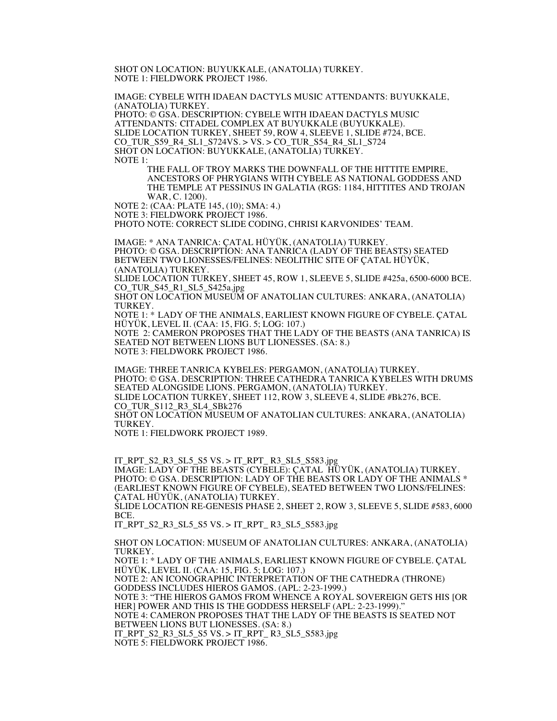SHOT ON LOCATION: BUYUKKALE, (ANATOLIA) TURKEY. NOTE 1: FIELDWORK PROJECT 1986.

IMAGE: CYBELE WITH IDAEAN DACTYLS MUSIC ATTENDANTS: BUYUKKALE, (ANATOLIA) TURKEY.

PHOTO: © GSA. DESCRIPTION: CYBELE WITH IDAEAN DACTYLS MUSIC ATTENDANTS: CITADEL COMPLEX AT BUYUKKALE (BUYUKKALE). SLIDE LOCATION TURKEY, SHEET 59, ROW 4, SLEEVE 1, SLIDE #724, BCE. CO\_TUR\_S59\_R4\_SL1\_S724VS. > VS. > CO\_TUR\_S54\_R4\_SL1\_S724 SHOT ON LOCATION: BUYUKKALE, (ANATOLIA) TURKEY. NOTE 1:

> THE FALL OF TROY MARKS THE DOWNFALL OF THE HITTITE EMPIRE, ANCESTORS OF PHRYGIANS WITH CYBELE AS NATIONAL GODDESS AND THE TEMPLE AT PESSINUS IN GALATIA (RGS: 1184, HITTITES AND TROJAN WAR, C. 1200).

NOTE 2: (CAA: PLATE 145, (10); SMA: 4.) NOTE 3: FIELDWORK PROJECT 1986.

PHOTO NOTE: CORRECT SLIDE CODING, CHRISI KARVONIDES' TEAM.

IMAGE: \* ANA TANRICA: ÇATAL HÜYÜK, (ANATOLIA) TURKEY. PHOTO: © GSA. DESCRIPTION: ANA TANRICA (LADY OF THE BEASTS) SEATED BETWEEN TWO LIONESSES/FELINES: NEOLITHIC SITE OF ÇATAL HÜYÜK, (ANATOLIA) TURKEY.

SLIDE LOCATION TURKEY, SHEET 45, ROW 1, SLEEVE 5, SLIDE #425a, 6500-6000 BCE. CO\_TUR\_S45\_R1\_SL5\_S425a.jpg

SHOT ON LOCATION MUSEUM OF ANATOLIAN CULTURES: ANKARA, (ANATOLIA) TURKEY.

NOTE 1: \* LADY OF THE ANIMALS, EARLIEST KNOWN FIGURE OF CYBELE. ÇATAL HÜYÜK, LEVEL II. (CAA: 15, FIG. 5; LOG: 107.)

NOTE 2: CAMERON PROPOSES THAT THE LADY OF THE BEASTS (ANA TANRICA) IS SEATED NOT BETWEEN LIONS BUT LIONESSES. (SA: 8.) NOTE 3: FIELDWORK PROJECT 1986.

IMAGE: THREE TANRICA KYBELES: PERGAMON, (ANATOLIA) TURKEY. PHOTO: © GSA. DESCRIPTION: THREE CATHEDRA TANRICA KYBELES WITH DRUMS SEATED ALONGSIDE LIONS. PERGAMON, (ANATOLIA) TURKEY. SLIDE LOCATION TURKEY, SHEET 112, ROW 3, SLEEVE 4, SLIDE #Bk276, BCE. CO\_TUR\_S112\_R3\_SL4\_SBk276 SHOT ON LOCATION MUSEUM OF ANATOLIAN CULTURES: ANKARA, (ANATOLIA) TURKEY.

NOTE 1: FIELDWORK PROJECT 1989.

IT\_RPT\_S2\_R3\_SL5\_S5 VS. > IT\_RPT\_ R3\_SL5\_S583.jpg IMAGE: LADY OF THE BEASTS (CYBELE): ÇATAL HÜYÜK, (ANATOLIA) TURKEY. PHOTO: © GSA. DESCRIPTION: LADY OF THE BEASTS OR LADY OF THE ANIMALS \* (EARLIEST KNOWN FIGURE OF CYBELE), SEATED BETWEEN TWO LIONS/FELINES: ÇATAL HÜYÜK, (ANATOLIA) TURKEY.

SLIDE LOCATION RE-GENESIS PHASE 2, SHEET 2, ROW 3, SLEEVE 5, SLIDE #583, 6000 BCE.

IT\_RPT\_S2\_R3\_SL5\_S5 VS. > IT\_RPT\_ R3\_SL5\_S583.jpg

SHOT ON LOCATION: MUSEUM OF ANATOLIAN CULTURES: ANKARA, (ANATOLIA) TURKEY.

NOTE 1: \* LADY OF THE ANIMALS, EARLIEST KNOWN FIGURE OF CYBELE. ÇATAL HÜYÜK, LEVEL II. (CAA: 15, FIG. 5; LOG: 107.)

NOTE 2: AN ICONOGRAPHIC INTERPRETATION OF THE CATHEDRA (THRONE) GODDESS INCLUDES HIEROS GAMOS. (APL: 2-23-1999.)

NOTE 3: "THE HIEROS GAMOS FROM WHENCE A ROYAL SOVEREIGN GETS HIS [OR HER] POWER AND THIS IS THE GODDESS HERSELF (APL: 2-23-1999)." NOTE 4: CAMERON PROPOSES THAT THE LADY OF THE BEASTS IS SEATED NOT

BETWEEN LIONS BUT LIONESSES. (SA: 8.)

IT\_RPT\_S2\_R3\_SL5\_S5 VS. > IT\_RPT\_ R3\_SL5\_S583.jpg NOTE 5: FIELDWORK PROJECT 1986.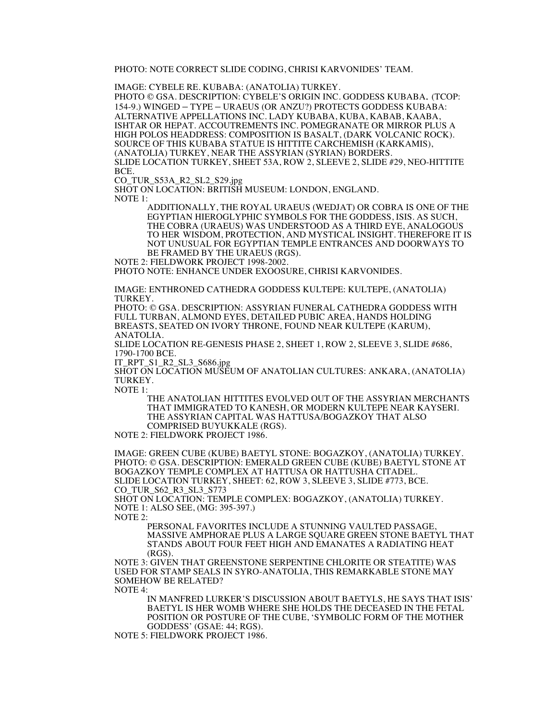PHOTO: NOTE CORRECT SLIDE CODING, CHRISI KARVONIDES' TEAM.

IMAGE: CYBELE RE. KUBABA: (ANATOLIA) TURKEY.

PHOTO © GSA. DESCRIPTION: CYBELE'S ORIGIN INC. GODDESS KUBABA. (TCOP: 154-9.) WINGED – TYPE – URAEUS (OR ANZU?) PROTECTS GODDESS KUBABA: ALTERNATIVE APPELLATIONS INC. LADY KUBABA, KUBA, KABAB, KAABA, ISHTAR OR HEPAT. ACCOUTREMENTS INC. POMEGRANATE OR MIRROR PLUS A HIGH POLOS HEADDRESS: COMPOSITION IS BASALT, (DARK VOLCANIC ROCK). SOURCE OF THIS KUBABA STATUE IS HITTITE CARCHEMISH (KARKAMIS), (ANATOLIA) TURKEY, NEAR THE ASSYRIAN (SYRIAN) BORDERS. SLIDE LOCATION TURKEY, SHEET 53A, ROW 2, SLEEVE 2, SLIDE #29, NEO-HITTITE BCE.

CO\_TUR\_S53A\_R2\_SL2\_S29.jpg

SHOT ON LOCATION: BRITISH MUSEUM: LONDON, ENGLAND. NOTE 1:

> ADDITIONALLY, THE ROYAL URAEUS (WEDJAT) OR COBRA IS ONE OF THE EGYPTIAN HIEROGLYPHIC SYMBOLS FOR THE GODDESS, ISIS. AS SUCH, THE COBRA (URAEUS) WAS UNDERSTOOD AS A THIRD EYE, ANALOGOUS TO HER WISDOM, PROTECTION, AND MYSTICAL INSIGHT. THEREFORE IT IS NOT UNUSUAL FOR EGYPTIAN TEMPLE ENTRANCES AND DOORWAYS TO BE FRAMED BY THE URAEUS (RGS).

NOTE 2: FIELDWORK PROJECT 1998-2002.

PHOTO NOTE: ENHANCE UNDER EXOOSURE, CHRISI KARVONIDES.

IMAGE: ENTHRONED CATHEDRA GODDESS KULTEPE: KULTEPE, (ANATOLIA) TURKEY.

PHOTO: © GSA. DESCRIPTION: ASSYRIAN FUNERAL CATHEDRA GODDESS WITH FULL TURBAN, ALMOND EYES, DETAILED PUBIC AREA, HANDS HOLDING BREASTS, SEATED ON IVORY THRONE, FOUND NEAR KULTEPE (KARUM), ANATOLIA.

SLIDE LOCATION RE-GENESIS PHASE 2, SHEET 1, ROW 2, SLEEVE 3, SLIDE #686, 1790-1700 BCE.

IT\_RPT\_S1\_R2\_SL3\_S686.jpg

SHOT ON LOCATION MUSEUM OF ANATOLIAN CULTURES: ANKARA, (ANATOLIA) TURKEY.

NOTE 1:

THE ANATOLIAN HITTITES EVOLVED OUT OF THE ASSYRIAN MERCHANTS THAT IMMIGRATED TO KANESH, OR MODERN KULTEPE NEAR KAYSERI. THE ASSYRIAN CAPITAL WAS HATTUSA/BOGAZKOY THAT ALSO COMPRISED BUYUKKALE (RGS).

NOTE 2: FIELDWORK PROJECT 1986.

IMAGE: GREEN CUBE (KUBE) BAETYL STONE: BOGAZKOY, (ANATOLIA) TURKEY. PHOTO: © GSA. DESCRIPTION: EMERALD GREEN CUBE (KUBE) BAETYL STONE AT BOGAZKOY TEMPLE COMPLEX AT HATTUSA OR HATTUSHA CITADEL. SLIDE LOCATION TURKEY, SHEET: 62, ROW 3, SLEEVE 3, SLIDE #773, BCE. CO\_TUR\_S62\_R3\_SL3\_S773

SHOT ON LOCATION: TEMPLE COMPLEX: BOGAZKOY, (ANATOLIA) TURKEY. NOTE 1: ALSO SEE, (MG: 395-397.)

NOTE 2:

PERSONAL FAVORITES INCLUDE A STUNNING VAULTED PASSAGE, MASSIVE AMPHORAE PLUS A LARGE SQUARE GREEN STONE BAETYL THAT STANDS ABOUT FOUR FEET HIGH AND EMANATES A RADIATING HEAT (RGS).

NOTE 3: GIVEN THAT GREENSTONE SERPENTINE CHLORITE OR STEATITE) WAS USED FOR STAMP SEALS IN SYRO-ANATOLIA, THIS REMARKABLE STONE MAY SOMEHOW BE RELATED? NOTE 4:

IN MANFRED LURKER'S DISCUSSION ABOUT BAETYLS, HE SAYS THAT ISIS' BAETYL IS HER WOMB WHERE SHE HOLDS THE DECEASED IN THE FETAL POSITION OR POSTURE OF THE CUBE, 'SYMBOLIC FORM OF THE MOTHER GODDESS' (GSAE: 44; RGS).

NOTE 5: FIELDWORK PROJECT 1986.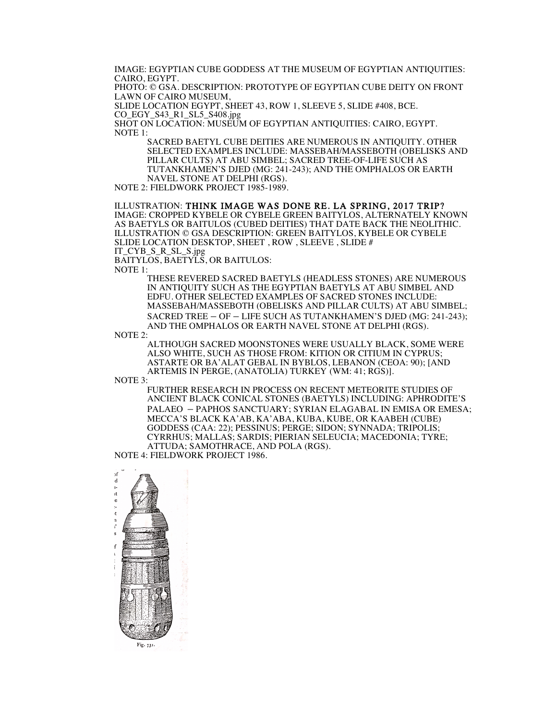IMAGE: EGYPTIAN CUBE GODDESS AT THE MUSEUM OF EGYPTIAN ANTIQUITIES: CAIRO, EGYPT.

PHOTO: © GSA. DESCRIPTION: PROTOTYPE OF EGYPTIAN CUBE DEITY ON FRONT LAWN OF CAIRO MUSEUM,

SLIDE LOCATION EGYPT, SHEET 43, ROW 1, SLEEVE 5, SLIDE #408, BCE. CO\_EGY\_S43\_R1\_SL5\_S408.jpg

SHOT ON LOCATION: MUSEUM OF EGYPTIAN ANTIQUITIES: CAIRO, EGYPT. NOTE 1:

SACRED BAETYL CUBE DEITIES ARE NUMEROUS IN ANTIQUITY. OTHER SELECTED EXAMPLES INCLUDE: MASSEBAH/MASSEBOTH (OBELISKS AND PILLAR CULTS) AT ABU SIMBEL; SACRED TREE-OF-LIFE SUCH AS TUTANKHAMEN'S DJED (MG: 241-243); AND THE OMPHALOS OR EARTH NAVEL STONE AT DELPHI (RGS).

NOTE 2: FIELDWORK PROJECT 1985-1989.

## ILLUSTRATION: THINK IMAGE WAS DONE RE. LA SPRING, 2017 TRIP? IMAGE: CROPPED KYBELE OR CYBELE GREEN BAITYLOS, ALTERNATELY KNOWN

AS BAETYLS OR BAITULOS (CUBED DEITIES) THAT DATE BACK THE NEOLITHIC. ILLUSTRATION © GSA DESCRIPTION: GREEN BAITYLOS, KYBELE OR CYBELE SLIDE LOCATION DESKTOP, SHEET , ROW , SLEEVE , SLIDE # IT\_CYB\_S\_R\_SL\_S.jpg

BAITYLOS, BAETYLS, OR BAITULOS:

NOTE 1:

THESE REVERED SACRED BAETYLS (HEADLESS STONES) ARE NUMEROUS IN ANTIQUITY SUCH AS THE EGYPTIAN BAETYLS AT ABU SIMBEL AND EDFU. OTHER SELECTED EXAMPLES OF SACRED STONES INCLUDE: MASSEBAH/MASSEBOTH (OBELISKS AND PILLAR CULTS) AT ABU SIMBEL; SACRED TREE – OF – LIFE SUCH AS TUTANKHAMEN'S DJED (MG: 241-243); AND THE OMPHALOS OR EARTH NAVEL STONE AT DELPHI (RGS).

NOTE 2:

ALTHOUGH SACRED MOONSTONES WERE USUALLY BLACK, SOME WERE ALSO WHITE, SUCH AS THOSE FROM: KITION OR CITIUM IN CYPRUS; ASTARTE OR BA'ALAT GEBAL IN BYBLOS, LEBANON (CEOA: 90); [AND ARTEMIS IN PERGE, (ANATOLIA) TURKEY (WM: 41; RGS)].

NOTE 3:

FURTHER RESEARCH IN PROCESS ON RECENT METEORITE STUDIES OF ANCIENT BLACK CONICAL STONES (BAETYLS) INCLUDING: APHRODITE'S PALAEO – PAPHOS SANCTUARY; SYRIAN ELAGABAL IN EMISA OR EMESA; MECCA'S BLACK KA'AB, KA'ABA, KUBA, KUBE, OR KAABEH (CUBE) GODDESS (CAA: 22); PESSINUS; PERGE; SIDON; SYNNADA; TRIPOLIS; CYRRHUS; MALLAS; SARDIS; PIERIAN SELEUCIA; MACEDONIA; TYRE; ATTUDA; SAMOTHRACE, AND POLA (RGS). NOTE 4: FIELDWORK PROJECT 1986.

 $\mathcal{A}$  $\mathbf{d}$ ıt  $\mathbf f$  $\mathbf{t}$ Fig. 731.